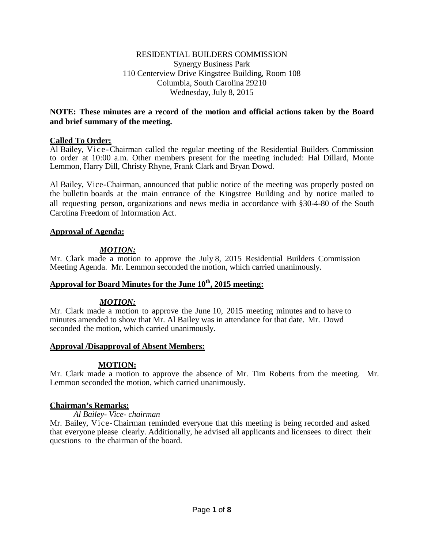#### RESIDENTIAL BUILDERS COMMISSION Synergy Business Park 110 Centerview Drive Kingstree Building, Room 108 Columbia, South Carolina 29210 Wednesday, July 8, 2015

### **NOTE: These minutes are a record of the motion and official actions taken by the Board and brief summary of the meeting.**

### **Called To Order:**

Al Bailey, Vice-Chairman called the regular meeting of the Residential Builders Commission to order at 10:00 a.m. Other members present for the meeting included: Hal Dillard, Monte Lemmon, Harry Dill, Christy Rhyne, Frank Clark and Bryan Dowd.

Al Bailey, Vice-Chairman, announced that public notice of the meeting was properly posted on the bulletin boards at the main entrance of the Kingstree Building and by notice mailed to all requesting person, organizations and news media in accordance with §30-4-80 of the South Carolina Freedom of Information Act.

#### **Approval of Agenda:**

### *MOTION:*

Mr. Clark made a motion to approve the July 8, 2015 Residential Builders Commission Meeting Agenda. Mr. Lemmon seconded the motion, which carried unanimously.

# **Approval for Board Minutes for the June 10th, 2015 meeting:**

### *MOTION:*

Mr. Clark made a motion to approve the June 10, 2015 meeting minutes and to have to minutes amended to show that Mr. Al Bailey was in attendance for that date. Mr. Dowd seconded the motion, which carried unanimously.

#### **Approval /Disapproval of Absent Members:**

### **MOTION:**

Mr. Clark made a motion to approve the absence of Mr. Tim Roberts from the meeting. Mr. Lemmon seconded the motion, which carried unanimously.

#### **Chairman's Remarks:**

#### *Al Bailey- Vice- chairman*

Mr. Bailey, Vice-Chairman reminded everyone that this meeting is being recorded and asked that everyone please clearly. Additionally, he advised all applicants and licensees to direct their questions to the chairman of the board.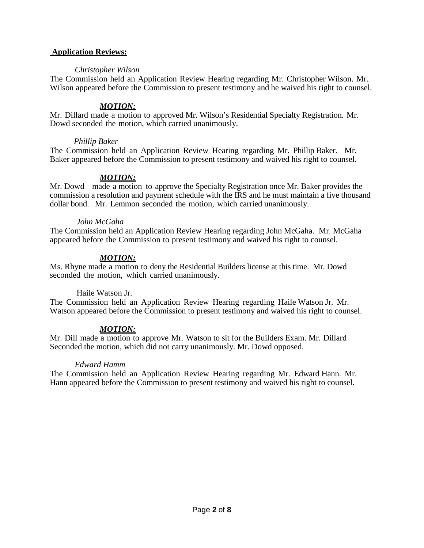#### **Application Reviews:**

#### *Christopher Wilson*

The Commission held an Application Review Hearing regarding Mr. Christopher Wilson. Mr. Wilson appeared before the Commission to present testimony and he waived his right to counsel.

### *MOTION:*

Mr. Dillard made a motion to approved Mr. Wilson's Residential Specialty Registration. Mr. Dowd seconded the motion, which carried unanimously.

#### *Phillip Baker*

The Commission held an Application Review Hearing regarding Mr. Phillip Baker. Mr. Baker appeared before the Commission to present testimony and waived his right to counsel.

### *MOTION:*

Mr. Dowd made a motion to approve the Specialty Registration once Mr. Baker provides the commission a resolution and payment schedule with the IRS and he must maintain a five thousand dollar bond. Mr. Lemmon seconded the motion, which carried unanimously.

#### *John McGaha*

The Commission held an Application Review Hearing regarding John McGaha. Mr. McGaha appeared before the Commission to present testimony and waived his right to counsel.

### *MOTION:*

Ms. Rhyne made a motion to deny the Residential Builders license at this time. Mr. Dowd seconded the motion, which carried unanimously.

### Haile Watson Jr.

The Commission held an Application Review Hearing regarding Haile Watson Jr. Mr. Watson appeared before the Commission to present testimony and waived his right to counsel.

### *MOTION:*

Mr. Dill made a motion to approve Mr. Watson to sit for the Builders Exam. Mr. Dillard Seconded the motion, which did not carry unanimously. Mr. Dowd opposed.

#### *Edward Hamm*

The Commission held an Application Review Hearing regarding Mr. Edward Hann. Mr. Hann appeared before the Commission to present testimony and waived his right to counsel.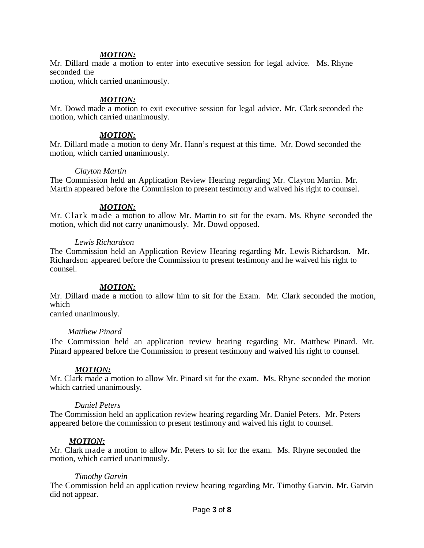#### *MOTION:*

Mr. Dillard made a motion to enter into executive session for legal advice. Ms. Rhyne seconded the

motion, which carried unanimously.

#### *MOTION:*

Mr. Dowd made a motion to exit executive session for legal advice. Mr. Clark seconded the motion, which carried unanimously.

#### *MOTION:*

Mr. Dillard made a motion to deny Mr. Hann's request at this time. Mr. Dowd seconded the motion, which carried unanimously.

#### *Clayton Martin*

The Commission held an Application Review Hearing regarding Mr. Clayton Martin. Mr. Martin appeared before the Commission to present testimony and waived his right to counsel.

#### *MOTION:*

Mr. Clark made a motion to allow Mr. Martin to sit for the exam. Ms. Rhyne seconded the motion, which did not carry unanimously. Mr. Dowd opposed.

#### *Lewis Richardson*

The Commission held an Application Review Hearing regarding Mr. Lewis Richardson. Mr. Richardson appeared before the Commission to present testimony and he waived his right to counsel.

#### *MOTION:*

Mr. Dillard made a motion to allow him to sit for the Exam. Mr. Clark seconded the motion, which

carried unanimously.

#### *Matthew Pinard*

The Commission held an application review hearing regarding Mr. Matthew Pinard. Mr. Pinard appeared before the Commission to present testimony and waived his right to counsel.

#### *MOTION:*

Mr. Clark made a motion to allow Mr. Pinard sit for the exam. Ms. Rhyne seconded the motion which carried unanimously.

#### *Daniel Peters*

The Commission held an application review hearing regarding Mr. Daniel Peters. Mr. Peters appeared before the commission to present testimony and waived his right to counsel.

#### *MOTION:*

Mr. Clark made a motion to allow Mr. Peters to sit for the exam. Ms. Rhyne seconded the motion, which carried unanimously.

#### *Timothy Garvin*

The Commission held an application review hearing regarding Mr. Timothy Garvin. Mr. Garvin did not appear.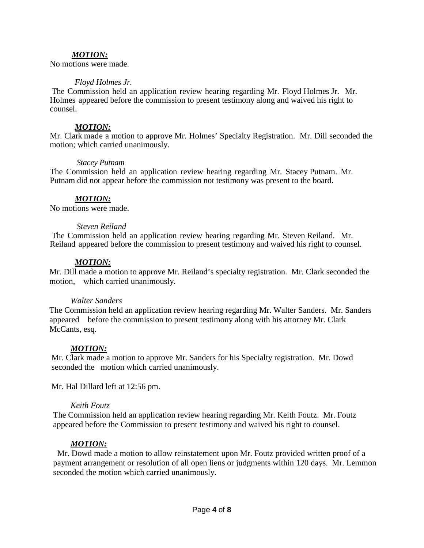### *MOTION:*

No motions were made.

#### *Floyd Holmes Jr.*

The Commission held an application review hearing regarding Mr. Floyd Holmes Jr. Mr. Holmes appeared before the commission to present testimony along and waived his right to counsel.

#### *MOTION:*

Mr. Clark made a motion to approve Mr. Holmes' Specialty Registration. Mr. Dill seconded the motion; which carried unanimously.

#### *Stacey Putnam*

The Commission held an application review hearing regarding Mr. Stacey Putnam. Mr. Putnam did not appear before the commission not testimony was present to the board.

### *MOTION:*

No motions were made.

#### *Steven Reiland*

The Commission held an application review hearing regarding Mr. Steven Reiland. Mr. Reiland appeared before the commission to present testimony and waived his right to counsel.

#### *MOTION:*

Mr. Dill made a motion to approve Mr. Reiland's specialty registration. Mr. Clark seconded the motion, which carried unanimously.

#### *Walter Sanders*

The Commission held an application review hearing regarding Mr. Walter Sanders. Mr. Sanders appeared before the commission to present testimony along with his attorney Mr. Clark McCants, esq.

#### *MOTION:*

Mr. Clark made a motion to approve Mr. Sanders for his Specialty registration. Mr. Dowd seconded the motion which carried unanimously.

Mr. Hal Dillard left at 12:56 pm.

#### *Keith Foutz*

The Commission held an application review hearing regarding Mr. Keith Foutz. Mr. Foutz appeared before the Commission to present testimony and waived his right to counsel.

#### *MOTION:*

 Mr. Dowd made a motion to allow reinstatement upon Mr. Foutz provided written proof of a payment arrangement or resolution of all open liens or judgments within 120 days. Mr. Lemmon seconded the motion which carried unanimously.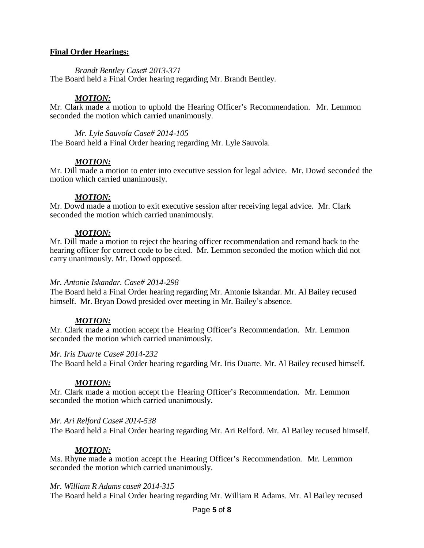#### **Final Order Hearings:**

*Brandt Bentley Case# 2013-371*

The Board held a Final Order hearing regarding Mr. Brandt Bentley.

### *MOTION:*

Mr. Clark made a motion to uphold the Hearing Officer's Recommendation. Mr. Lemmon seconded the motion which carried unanimously.

*Mr. Lyle Sauvola Case# 2014-105* The Board held a Final Order hearing regarding Mr. Lyle Sauvola.

### *MOTION:*

Mr. Dill made a motion to enter into executive session for legal advice. Mr. Dowd seconded the motion which carried unanimously.

#### *MOTION:*

Mr. Dowd made a motion to exit executive session after receiving legal advice. Mr. Clark seconded the motion which carried unanimously.

### *MOTION:*

Mr. Dill made a motion to reject the hearing officer recommendation and remand back to the hearing officer for correct code to be cited. Mr. Lemmon seconded the motion which did not carry unanimously. Mr. Dowd opposed.

#### *Mr. Antonie Iskandar. Case# 2014-298*

The Board held a Final Order hearing regarding Mr. Antonie Iskandar. Mr. Al Bailey recused himself. Mr. Bryan Dowd presided over meeting in Mr. Bailey's absence.

#### *MOTION:*

Mr. Clark made a motion accept the Hearing Officer's Recommendation. Mr. Lemmon seconded the motion which carried unanimously.

#### *Mr. Iris Duarte Case# 2014-232*

The Board held a Final Order hearing regarding Mr. Iris Duarte. Mr. Al Bailey recused himself.

#### *MOTION:*

Mr. Clark made a motion accept the Hearing Officer's Recommendation. Mr. Lemmon seconded the motion which carried unanimously.

#### *Mr. Ari Relford Case# 2014-538*

The Board held a Final Order hearing regarding Mr. Ari Relford. Mr. Al Bailey recused himself.

### *MOTION:*

Ms. Rhyne made a motion accept the Hearing Officer's Recommendation. Mr. Lemmon seconded the motion which carried unanimously.

#### *Mr. William R Adams case# 2014-315*

The Board held a Final Order hearing regarding Mr. William R Adams. Mr. Al Bailey recused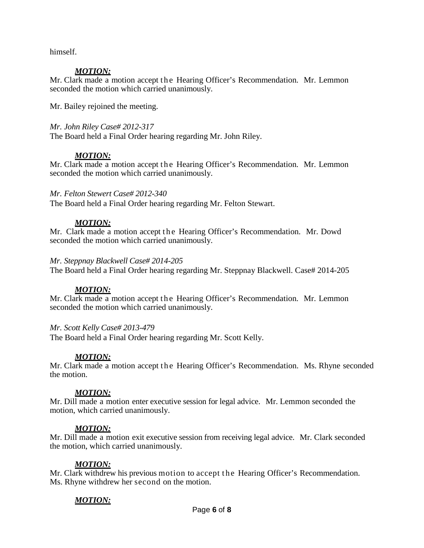himself.

### *MOTION:*

Mr. Clark made a motion accept the Hearing Officer's Recommendation. Mr. Lemmon seconded the motion which carried unanimously.

Mr. Bailey rejoined the meeting.

### *Mr. John Riley Case# 2012-317*

The Board held a Final Order hearing regarding Mr. John Riley.

### *MOTION:*

Mr. Clark made a motion accept the Hearing Officer's Recommendation. Mr. Lemmon seconded the motion which carried unanimously.

### *Mr. Felton Stewert Case# 2012-340*

The Board held a Final Order hearing regarding Mr. Felton Stewart.

### *MOTION:*

Mr. Clark made a motion accept the Hearing Officer's Recommendation. Mr. Dowd seconded the motion which carried unanimously.

#### *Mr. Steppnay Blackwell Case# 2014-205*

The Board held a Final Order hearing regarding Mr. Steppnay Blackwell. Case# 2014-205

### *MOTION:*

Mr. Clark made a motion accept the Hearing Officer's Recommendation. Mr. Lemmon seconded the motion which carried unanimously.

#### *Mr. Scott Kelly Case# 2013-479*

The Board held a Final Order hearing regarding Mr. Scott Kelly.

### *MOTION:*

Mr. Clark made a motion accept the Hearing Officer's Recommendation. Ms. Rhyne seconded the motion.

### *MOTION:*

Mr. Dill made a motion enter executive session for legal advice. Mr. Lemmon seconded the motion, which carried unanimously.

### *MOTION:*

Mr. Dill made a motion exit executive session from receiving legal advice. Mr. Clark seconded the motion, which carried unanimously.

### *MOTION:*

Mr. Clark withdrew his previous motion to accept the Hearing Officer's Recommendation. Ms. Rhyne withdrew her second on the motion.

# *MOTION:*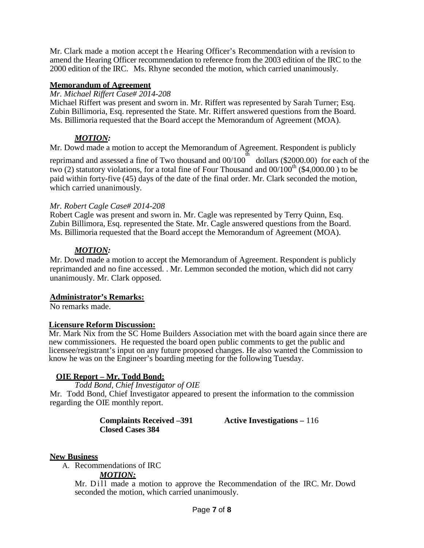Mr. Clark made a motion accept the Hearing Officer's Recommendation with a revision to amend the Hearing Officer recommendation to reference from the 2003 edition of the IRC to the 2000 edition of the IRC. Ms. Rhyne seconded the motion, which carried unanimously.

### **Memorandum of Agreement**

#### *Mr. Michael Riffert Case# 2014-208*

Michael Riffert was present and sworn in. Mr. Riffert was represented by Sarah Turner; Esq. Zubin Billimoria, Esq. represented the State. Mr. Riffert answered questions from the Board. Ms. Billimoria requested that the Board accept the Memorandum of Agreement (MOA).

### *MOTION:*

Mr. Dowd made a motion to accept the Memorandum of Agreement. Respondent is publicly

reprimand and assessed a fine of Two thousand and 00/100 dollars (\$2000.00) for each of the two (2) statutory violations, for a total fine of Four Thousand and  $00/100<sup>th</sup>$  (\$4,000.00) to be paid within forty-five (45) days of the date of the final order. Mr. Clark seconded the motion, which carried unanimously.

#### *Mr. Robert Cagle Case# 2014-208*

Robert Cagle was present and sworn in. Mr. Cagle was represented by Terry Quinn, Esq. Zubin Billimora, Esq. represented the State. Mr. Cagle answered questions from the Board. Ms. Billimoria requested that the Board accept the Memorandum of Agreement (MOA).

### *MOTION:*

Mr. Dowd made a motion to accept the Memorandum of Agreement. Respondent is publicly reprimanded and no fine accessed. . Mr. Lemmon seconded the motion, which did not carry unanimously. Mr. Clark opposed.

### **Administrator's Remarks:**

No remarks made.

#### **Licensure Reform Discussion:**

Mr. Mark Nix from the SC Home Builders Association met with the board again since there are new commissioners. He requested the board open public comments to get the public and licensee/registrant's input on any future proposed changes. He also wanted the Commission to know he was on the Engineer's boarding meeting for the following Tuesday.

### **OIE Report – Mr. Todd Bond:**

*Todd Bond, Chief Investigator of OIE* Mr. Todd Bond, Chief Investigator appeared to present the information to the commission regarding the OIE monthly report.

**Closed Cases 384**

**Complaints Received –391 Active Investigations –** 116

### **New Business**

A. Recommendations of IRC

#### *MOTION:*

Mr.  $Di$ <sup>II</sup> made a motion to approve the Recommendation of the IRC. Mr. Dowd seconded the motion, which carried unanimously.